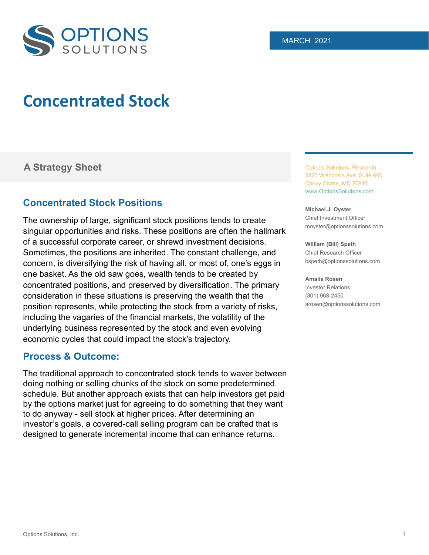

# **Concentrated Stock**

# **A Strategy Sheet Containers** Options Solutions Research

# **Concentrated Stock Positions**

The ownership of large, significant stock positions tends to create singular opportunities and risks. These positions are often the hallmark of a successful corporate career, or shrewd investment decisions. Sometimes, the positions are inherited. The constant challenge, and concern, is diversifying the risk of having all, or most of, one's eggs in one basket. As the old saw goes, wealth tends to be created by concentrated positions, and preserved by diversification. The primary consideration in these situations is preserving the wealth that the position represents, while protecting the stock from a variety of risks, including the vagaries of the financial markets, the volatility of the underlying business represented by the stock and even evolving economic cycles that could impact the stock's trajectory.

### **Process & Outcome:**

The traditional approach to concentrated stock tends to waver between doing nothing or selling chunks of the stock on some predetermined schedule. But another approach exists that can help investors get paid by the options market just for agreeing to do something that they want to do anyway - sell stock at higher prices. After determining an investor's goals, a covered-call selling program can be crafted that is designed to generate incremental income that can enhance returns.

5425 Wisconsin Ave, Suite 600 Chevy Chase, MD 20815 www.OptionsSolutions.com

**Michael J. Oyster** Chief Investment Officer moyster@optionssolutions.com

**William (Bill) Speth** Chief Research Officer bspeth@optionssolutions.com

#### **Amalia Rosen**

Investor Relations (301) 968-2450 arosen@optionssolutions.com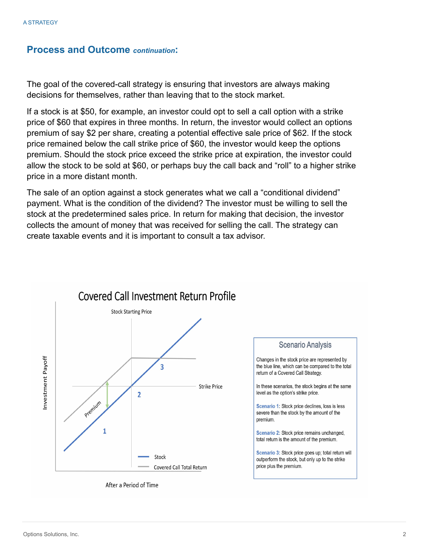#### **Process and Outcome** *continuation***:**

The goal of the covered-call strategy is ensuring that investors are always making decisions for themselves, rather than leaving that to the stock market.

If a stock is at \$50, for example, an investor could opt to sell a call option with a strike price of \$60 that expires in three months. In return, the investor would collect an options premium of say \$2 per share, creating a potential effective sale price of \$62. If the stock price remained below the call strike price of \$60, the investor would keep the options premium. Should the stock price exceed the strike price at expiration, the investor could allow the stock to be sold at \$60, or perhaps buy the call back and "roll" to a higher strike price in a more distant month.

The sale of an option against a stock generates what we call a "conditional dividend" payment. What is the condition of the dividend? The investor must be willing to sell the stock at the predetermined sales price. In return for making that decision, the investor collects the amount of money that was received for selling the call. The strategy can create taxable events and it is important to consult a tax advisor.



After a Period of Time